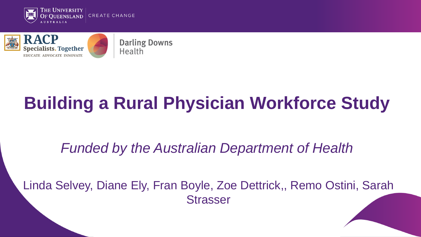



# **Building a Rural Physician Workforce Study**

#### *Funded by the Australian Department of Health*

Linda Selvey, Diane Ely, Fran Boyle, Zoe Dettrick,, Remo Ostini, Sarah **Strasser**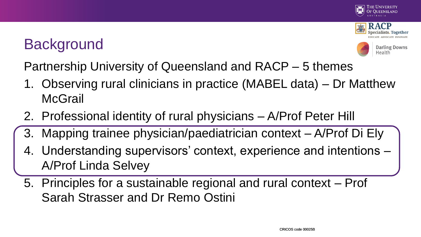

## **Background**



**Darling Downs** Health

Partnership University of Queensland and RACP – 5 themes

- 1. Observing rural clinicians in practice (MABEL data) Dr Matthew **McGrail**
- 2. Professional identity of rural physicians A/Prof Peter Hill
- 3. Mapping trainee physician/paediatrician context A/Prof Di Ely
- 4. Understanding supervisors' context, experience and intentions A/Prof Linda Selvey
- 5. Principles for a sustainable regional and rural context Prof Sarah Strasser and Dr Remo Ostini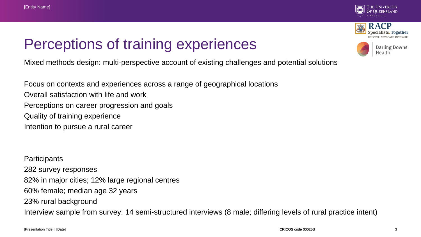





**Darling Downs** Health

Mixed methods design: multi-perspective account of existing challenges and potential solutions

Focus on contexts and experiences across a range of geographical locations Overall satisfaction with life and work Perceptions on career progression and goals Quality of training experience Intention to pursue a rural career

**Participants** 282 survey responses 82% in major cities; 12% large regional centres 60% female; median age 32 years 23% rural background Interview sample from survey: 14 semi-structured interviews (8 male; differing levels of rural practice intent)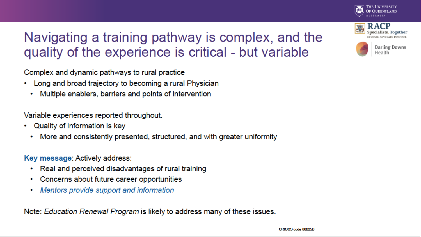





**Darling Downs** Health

#### Navigating a training pathway is complex, and the quality of the experience is critical - but variable

Complex and dynamic pathways to rural practice

- Long and broad trajectory to becoming a rural Physician ٠
	- Multiple enablers, barriers and points of intervention ٠

Variable experiences reported throughout.

- Quality of information is key ٠
	- More and consistently presented, structured, and with greater uniformity ٠

Key message: Actively address:

- Real and perceived disadvantages of rural training
- Concerns about future career opportunities  $\bullet$  .
- Mentors provide support and information  $\bullet$

Note: Education Renewal Program is likely to address many of these issues.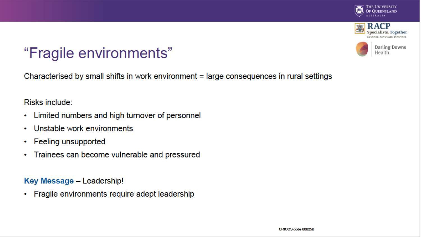





#### "Fragile environments"

Characterised by small shifts in work environment = large consequences in rural settings

Risks include:

- Limited numbers and high turnover of personnel ٠
- Unstable work environments ۰
- **Feeling unsupported** ۰
- Trainees can become vulnerable and pressured ۰

#### Key Message - Leadership!

Fragile environments require adept leadership ٠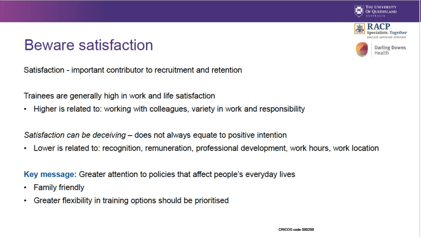







**Darling Downs** Health

Satisfaction - important contributor to recruitment and retention

Trainees are generally high in work and life satisfaction

Higher is related to: working with colleagues, variety in work and responsibility ٠

Satisfaction can be deceiving – does not always equate to positive intention

Lower is related to: recognition, remuneration, professional development, work hours, work location ٠

Key message: Greater attention to policies that affect people's everyday lives

- **Family friendly** ۰
- Greater flexibility in training options should be prioritised ۰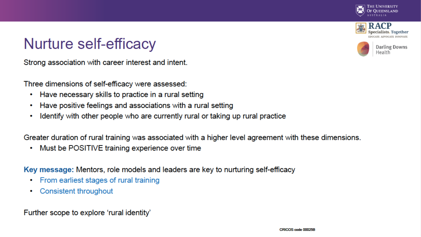







Strong association with career interest and intent.

Three dimensions of self-efficacy were assessed:

- Have necessary skills to practice in a rural setting
- Have positive feelings and associations with a rural setting ٠
- Identify with other people who are currently rural or taking up rural practice ٠

Greater duration of rural training was associated with a higher level agreement with these dimensions.

Must be POSITIVE training experience over time ٠

Key message: Mentors, role models and leaders are key to nurturing self-efficacy

- From earliest stages of rural training
- Consistent throughout ٠

Further scope to explore 'rural identity'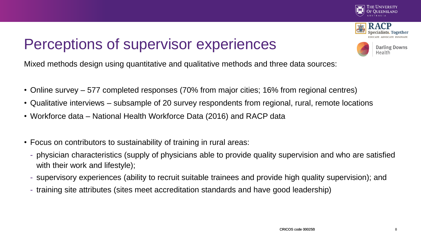

### Perceptions of supervisor experiences

**Darling Downs** Health

Mixed methods design using quantitative and qualitative methods and three data sources:

- Online survey 577 completed responses (70% from major cities; 16% from regional centres)
- Qualitative interviews subsample of 20 survey respondents from regional, rural, remote locations
- Workforce data National Health Workforce Data (2016) and RACP data
- Focus on contributors to sustainability of training in rural areas:
	- physician characteristics (supply of physicians able to provide quality supervision and who are satisfied with their work and lifestyle);
	- supervisory experiences (ability to recruit suitable trainees and provide high quality supervision); and
	- training site attributes (sites meet accreditation standards and have good leadership)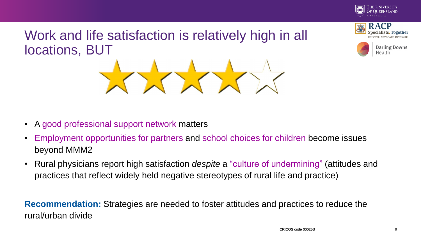

**pecialists. Together** 



**Darling Downs** Health



- A good professional support network matters
- Employment opportunities for partners and school choices for children become issues beyond MMM2
- Rural physicians report high satisfaction *despite* a "culture of undermining" (attitudes and practices that reflect widely held negative stereotypes of rural life and practice)

**Recommendation:** Strategies are needed to foster attitudes and practices to reduce the rural/urban divide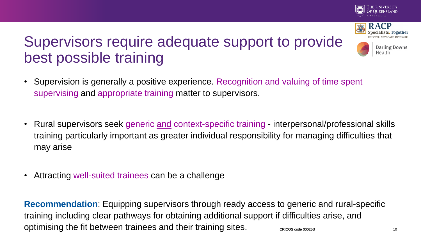

**Darling Downs** 

Health

# Supervisors require adequate support to provide best possible training

- Supervision is generally a positive experience. Recognition and valuing of time spent supervising and appropriate training matter to supervisors.
- Rural supervisors seek generic and context-specific training interpersonal/professional skills training particularly important as greater individual responsibility for managing difficulties that may arise
- Attracting well-suited trainees can be a challenge

CRICOS code 00025B 10 **Recommendation**: Equipping supervisors through ready access to generic and rural-specific training including clear pathways for obtaining additional support if difficulties arise, and optimising the fit between trainees and their training sites.